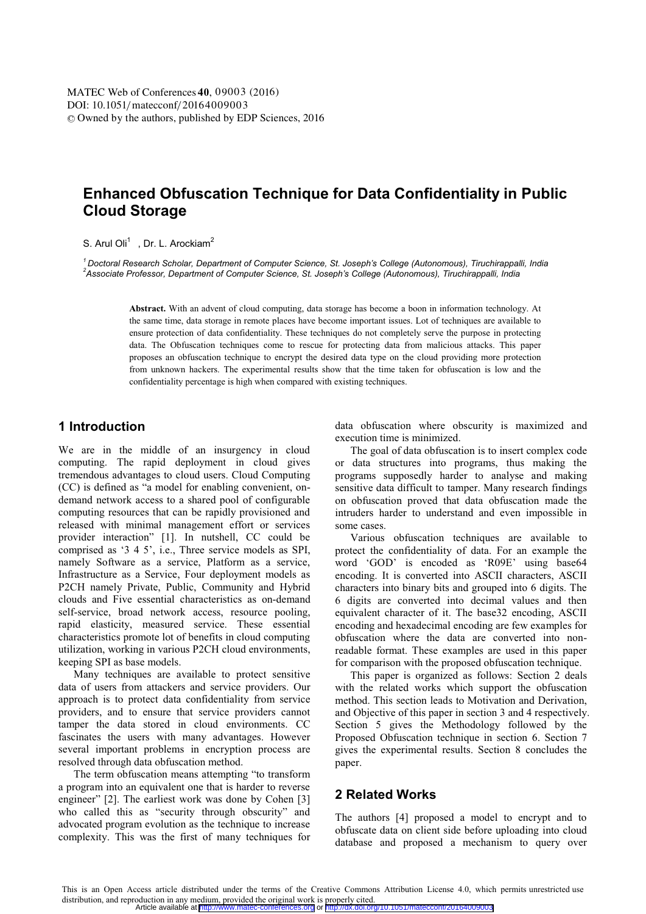# **Enhanced Obfuscation Technique for Data Confidentiality in Public Cloud Storage**

#### S. Arul Oli<sup>1</sup> , Dr. L. Arockiam<sup>2</sup>

*1 Doctoral Research Scholar, Department of Computer Science, St. Joseph's College (Autonomous), Tiruchirappalli, India 2 Associate Professor, Department of Computer Science, St. Joseph's College (Autonomous), Tiruchirappalli, India*

> **Abstract.** With an advent of cloud computing, data storage has become a boon in information technology. At the same time, data storage in remote places have become important issues. Lot of techniques are available to ensure protection of data confidentiality. These techniques do not completely serve the purpose in protecting data. The Obfuscation techniques come to rescue for protecting data from malicious attacks. This paper proposes an obfuscation technique to encrypt the desired data type on the cloud providing more protection from unknown hackers. The experimental results show that the time taken for obfuscation is low and the confidentiality percentage is high when compared with existing techniques.

## **1 Introduction**

We are in the middle of an insurgency in cloud computing. The rapid deployment in cloud gives tremendous advantages to cloud users. Cloud Computing (CC) is defined as "a model for enabling convenient, ondemand network access to a shared pool of configurable computing resources that can be rapidly provisioned and released with minimal management effort or services provider interaction" [1]. In nutshell, CC could be comprised as '3 4 5', i.e., Three service models as SPI, namely Software as a service, Platform as a service, Infrastructure as a Service, Four deployment models as P2CH namely Private, Public, Community and Hybrid clouds and Five essential characteristics as on-demand self-service, broad network access, resource pooling, rapid elasticity, measured service. These essential characteristics promote lot of benefits in cloud computing utilization, working in various P2CH cloud environments, keeping SPI as base models.

Many techniques are available to protect sensitive data of users from attackers and service providers. Our approach is to protect data confidentiality from service providers, and to ensure that service providers cannot tamper the data stored in cloud environments. CC fascinates the users with many advantages. However several important problems in encryption process are resolved through data obfuscation method.

The term obfuscation means attempting "to transform a program into an equivalent one that is harder to reverse engineer" [2]. The earliest work was done by Cohen [3] who called this as "security through obscurity" and advocated program evolution as the technique to increase complexity. This was the first of many techniques for

data obfuscation where obscurity is maximized and execution time is minimized.

The goal of data obfuscation is to insert complex code or data structures into programs, thus making the programs supposedly harder to analyse and making sensitive data difficult to tamper. Many research findings on obfuscation proved that data obfuscation made the intruders harder to understand and even impossible in some cases.

Various obfuscation techniques are available to protect the confidentiality of data. For an example the word 'GOD' is encoded as 'R09E' using base64 encoding. It is converted into ASCII characters, ASCII characters into binary bits and grouped into 6 digits. The 6 digits are converted into decimal values and then equivalent character of it. The base32 encoding, ASCII encoding and hexadecimal encoding are few examples for obfuscation where the data are converted into nonreadable format. These examples are used in this paper for comparison with the proposed obfuscation technique.

This paper is organized as follows: Section 2 deals with the related works which support the obfuscation method. This section leads to Motivation and Derivation, and Objective of this paper in section 3 and 4 respectively. Section 5 gives the Methodology followed by the Proposed Obfuscation technique in section 6. Section 7 gives the experimental results. Section 8 concludes the paper.

## **2 Related Works**

The authors [4] proposed a model to encrypt and to obfuscate data on client side before uploading into cloud database and proposed a mechanism to query over

This is an Open Access article distributed under the terms of the Creative Commons Attribution License 4.0, which permits unrestricted use distribution, and reproduction in any medium, provided the original work is properly cited.<br>Article available at <http://www.matec-conferences.org> or <http://dx.doi.org/10.1051/matecconf/20164009003>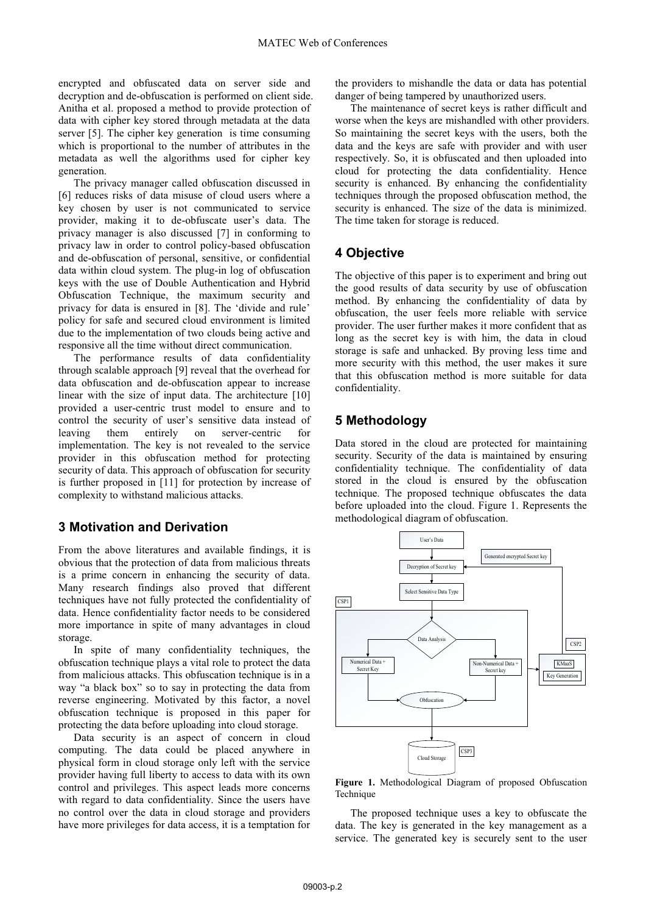encrypted and obfuscated data on server side and decryption and de-obfuscation is performed on client side. Anitha et al. proposed a method to provide protection of data with cipher key stored through metadata at the data server [5]. The cipher key generation is time consuming which is proportional to the number of attributes in the metadata as well the algorithms used for cipher key generation.

The privacy manager called obfuscation discussed in [6] reduces risks of data misuse of cloud users where a key chosen by user is not communicated to service provider, making it to de-obfuscate user's data. The privacy manager is also discussed [7] in conforming to privacy law in order to control policy-based obfuscation and de-obfuscation of personal, sensitive, or confidential data within cloud system. The plug-in log of obfuscation keys with the use of Double Authentication and Hybrid Obfuscation Technique, the maximum security and privacy for data is ensured in [8]. The 'divide and rule' policy for safe and secured cloud environment is limited due to the implementation of two clouds being active and responsive all the time without direct communication.

The performance results of data confidentiality through scalable approach [9] reveal that the overhead for data obfuscation and de-obfuscation appear to increase linear with the size of input data. The architecture [10] provided a user-centric trust model to ensure and to control the security of user's sensitive data instead of leaving them entirely on server-centric for implementation. The key is not revealed to the service provider in this obfuscation method for protecting security of data. This approach of obfuscation for security is further proposed in [11] for protection by increase of complexity to withstand malicious attacks.

## **3 Motivation and Derivation**

From the above literatures and available findings, it is obvious that the protection of data from malicious threats is a prime concern in enhancing the security of data. Many research findings also proved that different techniques have not fully protected the confidentiality of data. Hence confidentiality factor needs to be considered more importance in spite of many advantages in cloud storage.

In spite of many confidentiality techniques, the obfuscation technique plays a vital role to protect the data from malicious attacks. This obfuscation technique is in a way "a black box" so to say in protecting the data from reverse engineering. Motivated by this factor, a novel obfuscation technique is proposed in this paper for protecting the data before uploading into cloud storage.

Data security is an aspect of concern in cloud computing. The data could be placed anywhere in physical form in cloud storage only left with the service provider having full liberty to access to data with its own control and privileges. This aspect leads more concerns with regard to data confidentiality. Since the users have no control over the data in cloud storage and providers have more privileges for data access, it is a temptation for

the providers to mishandle the data or data has potential danger of being tampered by unauthorized users.

The maintenance of secret keys is rather difficult and worse when the keys are mishandled with other providers. So maintaining the secret keys with the users, both the data and the keys are safe with provider and with user respectively. So, it is obfuscated and then uploaded into cloud for protecting the data confidentiality. Hence security is enhanced. By enhancing the confidentiality techniques through the proposed obfuscation method, the security is enhanced. The size of the data is minimized. The time taken for storage is reduced.

## **4 Objective**

The objective of this paper is to experiment and bring out the good results of data security by use of obfuscation method. By enhancing the confidentiality of data by obfuscation, the user feels more reliable with service provider. The user further makes it more confident that as long as the secret key is with him, the data in cloud storage is safe and unhacked. By proving less time and more security with this method, the user makes it sure that this obfuscation method is more suitable for data confidentiality.

#### **5 Methodology**

Data stored in the cloud are protected for maintaining security. Security of the data is maintained by ensuring confidentiality technique. The confidentiality of data stored in the cloud is ensured by the obfuscation technique. The proposed technique obfuscates the data before uploaded into the cloud. Figure 1. Represents the methodological diagram of obfuscation.



**Figure 1.** Methodological Diagram of proposed Obfuscation Technique

The proposed technique uses a key to obfuscate the data. The key is generated in the key management as a service. The generated key is securely sent to the user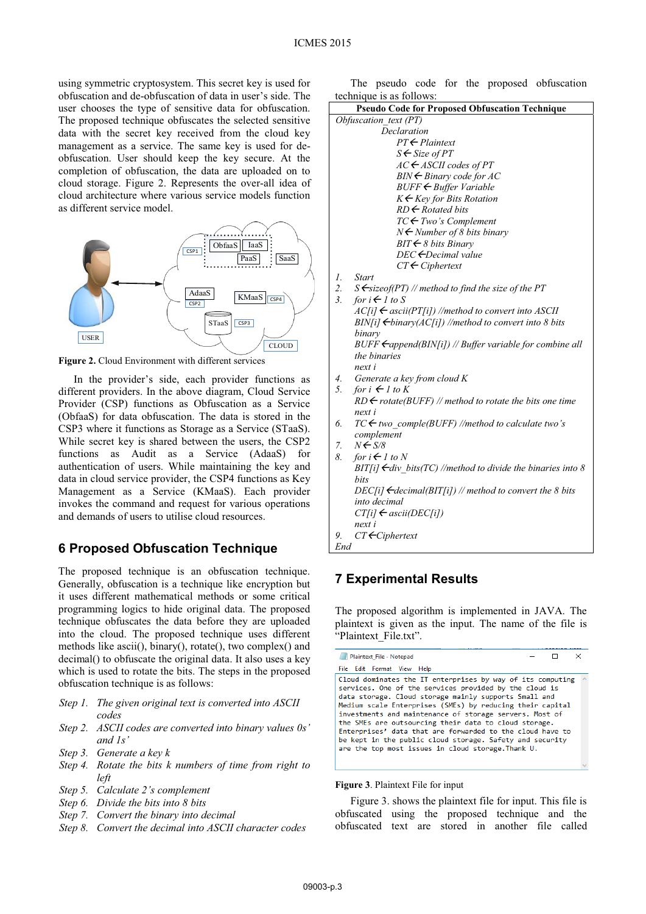using symmetric cryptosystem. This secret key is used for obfuscation and de-obfuscation of data in user's side. The user chooses the type of sensitive data for obfuscation. The proposed technique obfuscates the selected sensitive data with the secret key received from the cloud key management as a service. The same key is used for deobfuscation. User should keep the key secure. At the completion of obfuscation, the data are uploaded on to cloud storage. Figure 2. Represents the over-all idea of cloud architecture where various service models function as different service model.



**Figure 2.** Cloud Environment with different services

In the provider's side, each provider functions as different providers. In the above diagram, Cloud Service Provider (CSP) functions as Obfuscation as a Service (ObfaaS) for data obfuscation. The data is stored in the CSP3 where it functions as Storage as a Service (STaaS). While secret key is shared between the users, the CSP2 functions as Audit as a Service (AdaaS) for authentication of users. While maintaining the key and data in cloud service provider, the CSP4 functions as Key Management as a Service (KMaaS). Each provider invokes the command and request for various operations and demands of users to utilise cloud resources.

#### **6 Proposed Obfuscation Technique**

The proposed technique is an obfuscation technique. Generally, obfuscation is a technique like encryption but it uses different mathematical methods or some critical programming logics to hide original data. The proposed technique obfuscates the data before they are uploaded into the cloud. The proposed technique uses different methods like ascii(), binary(), rotate(), two complex() and decimal() to obfuscate the original data. It also uses a key which is used to rotate the bits. The steps in the proposed obfuscation technique is as follows:

- *Step 1. The given original text is converted into ASCII codes*
- *Step 2. ASCII codes are converted into binary values 0s' and 1s'*
- *Step 3. Generate a key k*
- *Step 4. Rotate the bits k numbers of time from right to left*
- *Step 5. Calculate 2's complement*
- *Step 6. Divide the bits into 8 bits*
- *Step 7. Convert the binary into decimal*
- *Step 8. Convert the decimal into ASCII character codes*

The pseudo code for the proposed obfuscation technique is as follows:

| <b>Pseudo Code for Proposed Obfuscation Technique</b>                        | tecnifique is as follows: |  |  |  |
|------------------------------------------------------------------------------|---------------------------|--|--|--|
| Obfuscation text (PT)                                                        |                           |  |  |  |
| Declaration                                                                  |                           |  |  |  |
| $PT \leftarrow$ Plaintext                                                    |                           |  |  |  |
| $S \leftarrow$ Size of PT                                                    |                           |  |  |  |
| $AC \leftarrow$ ASCII codes of PT                                            |                           |  |  |  |
| $BIN \leftarrow Binary code for AC$                                          |                           |  |  |  |
| BUFF ← Buffer Variable                                                       |                           |  |  |  |
| $K \leftarrow$ Key for Bits Rotation                                         |                           |  |  |  |
| $RD \leftarrow$ Rotated bits                                                 |                           |  |  |  |
| $TC \leftarrow Two's \textit{Complement}$                                    |                           |  |  |  |
| $N \leftarrow$ Number of 8 bits binary                                       |                           |  |  |  |
| BIT < 8 bits Binary                                                          |                           |  |  |  |
| $DEC \leftarrow$ Decimal value                                               |                           |  |  |  |
| $CT \leftarrow Ciphertext$                                                   |                           |  |  |  |
| 1.<br><b>Start</b>                                                           |                           |  |  |  |
| 2.<br>$S \leftarrow$ sizeof(PT) // method to find the size of the PT         |                           |  |  |  |
| 3.<br>for $i \leftarrow l$ to S                                              |                           |  |  |  |
| $AC[i] \leftarrow \text{ascii}(PT[i])$ //method to convert into ASCII        |                           |  |  |  |
| BIN[i] $\leftarrow$ binary(AC[i]) //method to convert into 8 bits            |                           |  |  |  |
| binary                                                                       |                           |  |  |  |
| $BUFF \leftarrow$ append(BIN[i]) // Buffer variable for combine all          |                           |  |  |  |
| the binaries                                                                 |                           |  |  |  |
| next i                                                                       |                           |  |  |  |
| 4.<br>Generate a key from cloud K                                            |                           |  |  |  |
| for $i \leftarrow l$ to K<br>5.                                              |                           |  |  |  |
| $RD \leftarrow$ rotate(BUFF) // method to rotate the bits one time<br>next i |                           |  |  |  |
| $TC \leftarrow$ two comple(BUFF) //method to calculate two's<br>6.           |                           |  |  |  |
| complement                                                                   |                           |  |  |  |
| $N \leftarrow S/8$<br>7.                                                     |                           |  |  |  |
| 8.<br>for $i \leftarrow l$ to N                                              |                           |  |  |  |
| BIT[i] $\leftarrow$ div bits(TC) //method to divide the binaries into 8      |                           |  |  |  |
| <i>hits</i>                                                                  |                           |  |  |  |
| DEC[i] $\leftarrow$ decimal(BIT[i]) // method to convert the 8 bits          |                           |  |  |  |
| into decimal                                                                 |                           |  |  |  |
| $CT[i] \leftarrow \text{ascii}(DEC[i])$                                      |                           |  |  |  |
| next i                                                                       |                           |  |  |  |
| $CT \leftarrow Ciphertext$<br>9.                                             |                           |  |  |  |
| End                                                                          |                           |  |  |  |
|                                                                              |                           |  |  |  |

## **7 Experimental Results**

The proposed algorithm is implemented in JAVA. The plaintext is given as the input. The name of the file is "Plaintext\_File.txt".

| Plaintext_File - Notepad                                                                                                                                                                                                                                                                                                                                                                                                                                                                                                                      |  | $\times$        |  |
|-----------------------------------------------------------------------------------------------------------------------------------------------------------------------------------------------------------------------------------------------------------------------------------------------------------------------------------------------------------------------------------------------------------------------------------------------------------------------------------------------------------------------------------------------|--|-----------------|--|
| File Edit Format View Help                                                                                                                                                                                                                                                                                                                                                                                                                                                                                                                    |  |                 |  |
| Cloud dominates the IT enterprises by way of its computing<br>services. One of the services provided by the cloud is<br>data storage. Cloud storage mainly supports Small and<br>Medium scale Enterprises (SMEs) by reducing their capital<br>investments and maintenance of storage servers. Most of<br>the SMEs are outsourcing their data to cloud storage.<br>Enterprises' data that are forwarded to the cloud have to<br>be kept in the public cloud storage. Safety and security<br>are the top most issues in cloud storage. Thank U. |  | $\mathcal{N}_1$ |  |

**Figure 3**. Plaintext File for input

Figure 3. shows the plaintext file for input. This file is obfuscated using the proposed technique and the obfuscated text are stored in another file called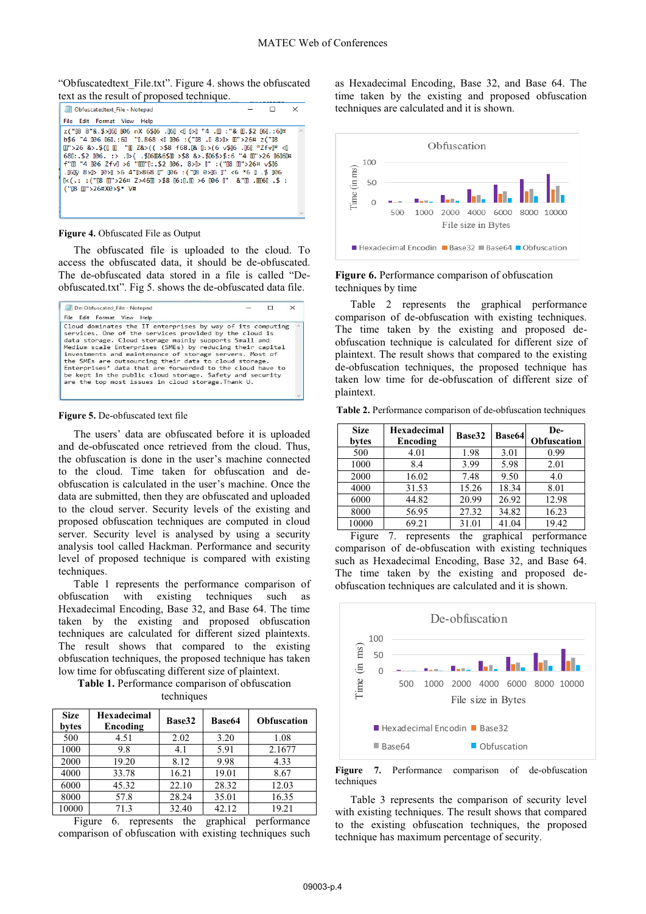"Obfuscatedtext\_File.txt". Figure 4. shows the obfuscated text as the result of proposed technique.



#### **Figure 4.** Obfuscated File as Output

The obfuscated file is uploaded to the cloud. To access the obfuscated data, it should be de-obfuscated. The de-obfuscated data stored in a file is called "Deobfuscated.txt". Fig 5. shows the de-obfuscated data file.



#### **Figure 5.** De-obfuscated text file

The users' data are obfuscated before it is uploaded and de-obfuscated once retrieved from the cloud. Thus, the obfuscation is done in the user's machine connected to the cloud. Time taken for obfuscation and deobfuscation is calculated in the user's machine. Once the data are submitted, then they are obfuscated and uploaded to the cloud server. Security levels of the existing and proposed obfuscation techniques are computed in cloud server. Security level is analysed by using a security analysis tool called Hackman. Performance and security level of proposed technique is compared with existing techniques.

Table 1 represents the performance comparison of obfuscation with existing techniques such Hexadecimal Encoding, Base 32, and Base 64. The time taken by the existing and proposed obfuscation techniques are calculated for different sized plaintexts. The result shows that compared to the existing obfuscation techniques, the proposed technique has taken low time for obfuscating different size of plaintext.

**Table 1.** Performance comparison of obfuscation techniques

| <b>Size</b><br>bytes | <b>Hexadecimal</b><br>Encoding | Base32 | <b>Base64</b> | <b>Obfuscation</b> |
|----------------------|--------------------------------|--------|---------------|--------------------|
| 500                  | 4.51                           | 2.02   | 3.20          | 1.08               |
| 1000                 | 9.8                            | 4.1    | 5.91          | 2.1677             |
| 2000                 | 19.20                          | 8.12   | 9.98          | 4.33               |
| 4000                 | 33.78                          | 16.21  | 19.01         | 8.67               |
| 6000                 | 45.32                          | 22.10  | 28.32         | 12.03              |
| 8000                 | 57.8                           | 28.24  | 35.01         | 16.35              |
| 10000                | 71.3                           | 32.40  | 42.12         | 19.21              |

Figure 6. represents the graphical performance comparison of obfuscation with existing techniques such

as Hexadecimal Encoding, Base 32, and Base 64. The time taken by the existing and proposed obfuscation techniques are calculated and it is shown.



#### **Figure 6.** Performance comparison of obfuscation techniques by time

Table 2 represents the graphical performance comparison of de-obfuscation with existing techniques. The time taken by the existing and proposed deobfuscation technique is calculated for different size of plaintext. The result shows that compared to the existing de-obfuscation techniques, the proposed technique has taken low time for de-obfuscation of different size of plaintext.

**Table 2.** Performance comparison of de-obfuscation techniques

| <b>Size</b><br>bytes | <b>Hexadecimal</b><br>Encoding | Base32 | <b>Base64</b> | De-<br>Obfuscation |
|----------------------|--------------------------------|--------|---------------|--------------------|
| 500                  | 4.01                           | 1.98   | 3.01          | 0.99               |
| 1000                 | 8.4                            | 3.99   | 5.98          | 2.01               |
| 2000                 | 16.02                          | 7.48   | 9.50          | 4.0                |
| 4000                 | 31.53                          | 15.26  | 18.34         | 8.01               |
| 6000                 | 44.82                          | 20.99  | 26.92         | 12.98              |
| 8000                 | 56.95                          | 27.32  | 34.82         | 16.23              |
| 10000                | 69.21                          | 31.01  | 41.04         | 19.42              |

Figure 7. represents the graphical performance comparison of de-obfuscation with existing techniques such as Hexadecimal Encoding, Base 32, and Base 64. The time taken by the existing and proposed deobfuscation techniques are calculated and it is shown.



Figure 7. Performance comparison of de-obfuscation techniques

Table 3 represents the comparison of security level with existing techniques. The result shows that compared to the existing obfuscation techniques, the proposed technique has maximum percentage of security.